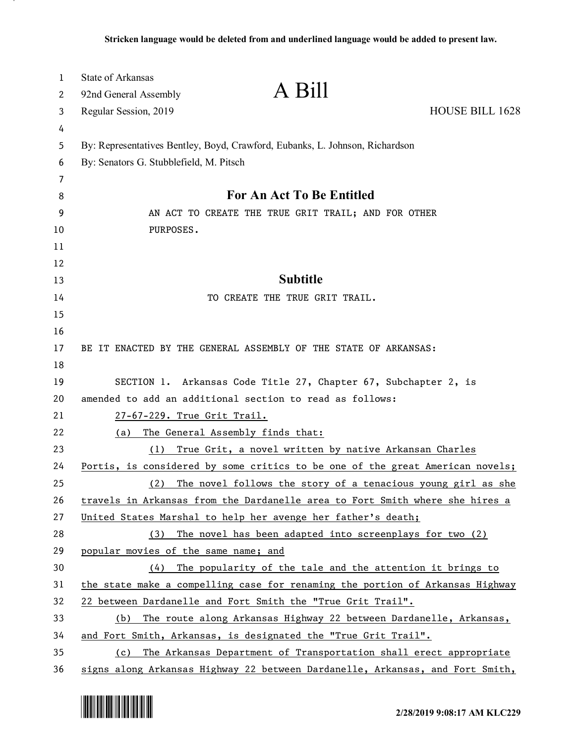| 1  | <b>State of Arkansas</b>                                                     |                                                                               |                 |
|----|------------------------------------------------------------------------------|-------------------------------------------------------------------------------|-----------------|
| 2  | 92nd General Assembly                                                        | A Bill                                                                        |                 |
| 3  | Regular Session, 2019                                                        |                                                                               | HOUSE BILL 1628 |
| 4  |                                                                              |                                                                               |                 |
| 5  | By: Representatives Bentley, Boyd, Crawford, Eubanks, L. Johnson, Richardson |                                                                               |                 |
| 6  | By: Senators G. Stubblefield, M. Pitsch                                      |                                                                               |                 |
| 7  |                                                                              |                                                                               |                 |
| 8  | For An Act To Be Entitled                                                    |                                                                               |                 |
| 9  | AN ACT TO CREATE THE TRUE GRIT TRAIL; AND FOR OTHER                          |                                                                               |                 |
| 10 | PURPOSES.                                                                    |                                                                               |                 |
| 11 |                                                                              |                                                                               |                 |
| 12 |                                                                              |                                                                               |                 |
| 13 |                                                                              | <b>Subtitle</b>                                                               |                 |
| 14 |                                                                              | TO CREATE THE TRUE GRIT TRAIL.                                                |                 |
| 15 |                                                                              |                                                                               |                 |
| 16 |                                                                              |                                                                               |                 |
| 17 |                                                                              | BE IT ENACTED BY THE GENERAL ASSEMBLY OF THE STATE OF ARKANSAS:               |                 |
| 18 |                                                                              |                                                                               |                 |
| 19 |                                                                              | SECTION 1. Arkansas Code Title 27, Chapter 67, Subchapter 2, is               |                 |
| 20 | amended to add an additional section to read as follows:                     |                                                                               |                 |
| 21 | 27-67-229. True Grit Trail.                                                  |                                                                               |                 |
| 22 | (a)                                                                          | The General Assembly finds that:                                              |                 |
| 23 | True Grit, a novel written by native Arkansan Charles<br>(1)                 |                                                                               |                 |
| 24 |                                                                              | Portis, is considered by some critics to be one of the great American novels; |                 |
| 25 | (2)                                                                          | The novel follows the story of a tenacious young girl as she                  |                 |
| 26 |                                                                              | travels in Arkansas from the Dardanelle area to Fort Smith where she hires a  |                 |
| 27 |                                                                              | United States Marshal to help her avenge her father's death;                  |                 |
| 28 | (3)                                                                          | The novel has been adapted into screenplays for two (2)                       |                 |
| 29 | popular movies of the same name; and                                         |                                                                               |                 |
| 30 | (4)                                                                          | The popularity of the tale and the attention it brings to                     |                 |
| 31 |                                                                              | the state make a compelling case for renaming the portion of Arkansas Highway |                 |
| 32 |                                                                              | 22 between Dardanelle and Fort Smith the "True Grit Trail".                   |                 |
| 33 | (b)                                                                          | The route along Arkansas Highway 22 between Dardanelle, Arkansas,             |                 |
| 34 |                                                                              | and Fort Smith, Arkansas, is designated the "True Grit Trail".                |                 |
| 35 | (c)                                                                          | The Arkansas Department of Transportation shall erect appropriate             |                 |
| 36 |                                                                              | signs along Arkansas Highway 22 between Dardanelle, Arkansas, and Fort Smith, |                 |